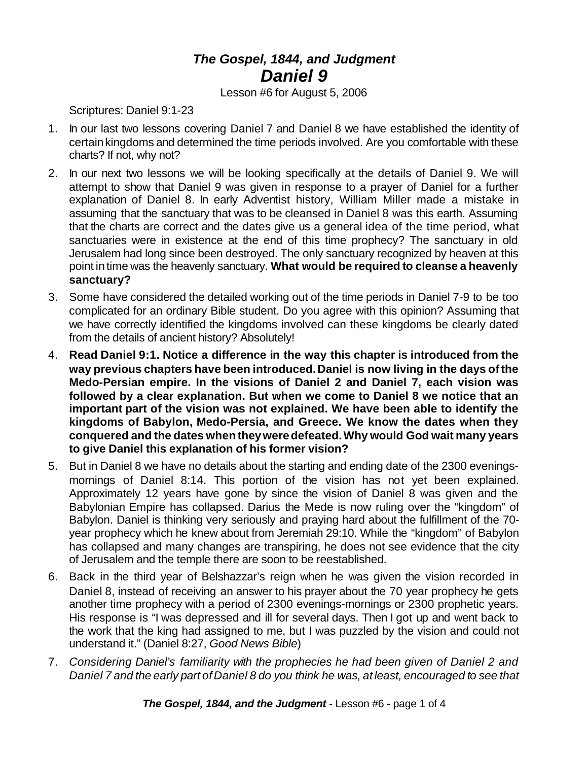## *The Gospel, 1844, and Judgment Daniel 9*

Lesson #6 for August 5, 2006

Scriptures: Daniel 9:1-23

- 1. In our last two lessons covering Daniel 7 and Daniel 8 we have established the identity of certainkingdoms and determined the time periods involved. Are you comfortable with these charts? If not, why not?
- 2. In our next two lessons we will be looking specifically at the details of Daniel 9. We will attempt to show that Daniel 9 was given in response to a prayer of Daniel for a further explanation of Daniel 8. In early Adventist history, William Miller made a mistake in assuming that the sanctuary that was to be cleansed in Daniel 8 was this earth. Assuming that the charts are correct and the dates give us a general idea of the time period, what sanctuaries were in existence at the end of this time prophecy? The sanctuary in old Jerusalem had long since been destroyed. The only sanctuary recognized by heaven at this point in time was the heavenly sanctuary. **What would be required to cleanse a heavenly sanctuary?**
- 3. Some have considered the detailed working out of the time periods in Daniel 7-9 to be too complicated for an ordinary Bible student. Do you agree with this opinion? Assuming that we have correctly identified the kingdoms involved can these kingdoms be clearly dated from the details of ancient history? Absolutely!
- 4. **Read Daniel 9:1. Notice a difference in the way this chapter is introduced from the way previous chapters have been introduced.Daniel is now living in the days ofthe Medo-Persian empire. In the visions of Daniel 2 and Daniel 7, each vision was followed by a clear explanation. But when we come to Daniel 8 we notice that an important part of the vision was not explained. We have been able to identify the kingdoms of Babylon, Medo-Persia, and Greece. We know the dates when they conquered and the dates whentheyweredefeated.Why would God wait many years to give Daniel this explanation of his former vision?**
- 5. But in Daniel 8 we have no details about the starting and ending date of the 2300 eveningsmornings of Daniel 8:14. This portion of the vision has not yet been explained. Approximately 12 years have gone by since the vision of Daniel 8 was given and the Babylonian Empire has collapsed. Darius the Mede is now ruling over the "kingdom" of Babylon. Daniel is thinking very seriously and praying hard about the fulfillment of the 70 year prophecy which he knew about from Jeremiah 29:10. While the "kingdom" of Babylon has collapsed and many changes are transpiring, he does not see evidence that the city of Jerusalem and the temple there are soon to be reestablished.
- 6. Back in the third year of Belshazzar's reign when he was given the vision recorded in Daniel 8, instead of receiving an answer to his prayer about the 70 year prophecy he gets another time prophecy with a period of 2300 evenings-mornings or 2300 prophetic years. His response is "I was depressed and ill for several days. Then I got up and went back to the work that the king had assigned to me, but I was puzzled by the vision and could not understand it." (Daniel 8:27, *Good News Bible*)
- 7. *Considering Daniel's familiarity with the prophecies he had been given of Daniel 2 and Daniel 7 and the early part of Daniel 8 do you think he was, at least, encouraged to see that*

*The Gospel, 1844, and the Judgment* - Lesson #6 - page 1 of 4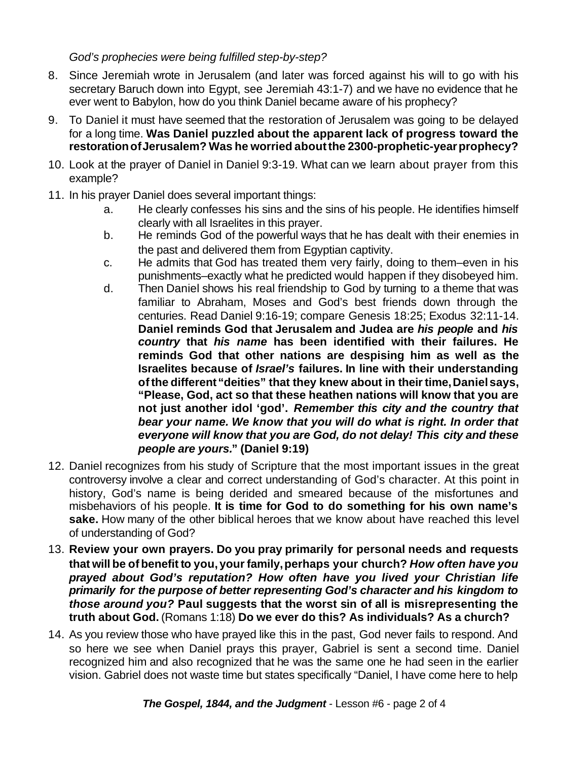## *God's prophecies were being fulfilled step-by-step?*

- 8. Since Jeremiah wrote in Jerusalem (and later was forced against his will to go with his secretary Baruch down into Egypt, see Jeremiah 43:1-7) and we have no evidence that he ever went to Babylon, how do you think Daniel became aware of his prophecy?
- 9. To Daniel it must have seemed that the restoration of Jerusalem was going to be delayed for a long time. **Was Daniel puzzled about the apparent lack of progress toward the restorationofJerusalem? Was he worried aboutthe 2300-prophetic-yearprophecy?**
- 10. Look at the prayer of Daniel in Daniel 9:3-19. What can we learn about prayer from this example?
- 11. In his prayer Daniel does several important things:
	- a. He clearly confesses his sins and the sins of his people. He identifies himself clearly with all Israelites in this prayer.
	- b. He reminds God of the powerful ways that he has dealt with their enemies in the past and delivered them from Egyptian captivity.
	- c. He admits that God has treated them very fairly, doing to them–even in his punishments–exactly what he predicted would happen if they disobeyed him.
	- d. Then Daniel shows his real friendship to God by turning to a theme that was familiar to Abraham, Moses and God's best friends down through the centuries. Read Daniel 9:16-19; compare Genesis 18:25; Exodus 32:11-14. **Daniel reminds God that Jerusalem and Judea are** *his people* **and** *his country* **that** *his name* **has been identified with their failures. He reminds God that other nations are despising him as well as the Israelites because of** *Israel's* **failures. In line with their understanding ofthe different"deities" that they knew about in theirtime,Danielsays, "Please, God, act so that these heathen nations will know that you are not just another idol 'god'.** *Remember this city and the country that bear your name. We know that you will do what is right. In order that everyone will know that you are God, do not delay! This city and these people are yours.***" (Daniel 9:19)**
- 12. Daniel recognizes from his study of Scripture that the most important issues in the great controversy involve a clear and correct understanding of God's character. At this point in history, God's name is being derided and smeared because of the misfortunes and misbehaviors of his people. **It is time for God to do something for his own name's sake.** How many of the other biblical heroes that we know about have reached this level of understanding of God?
- 13. **Review your own prayers. Do you pray primarily for personal needs and requests that will be of benefit to you, yourfamily,perhaps your church?** *How often have you prayed about God's reputation? How often have you lived your Christian life primarily for the purpose of better representing God's character and his kingdom to those around you?* **Paul suggests that the worst sin of all is misrepresenting the truth about God.** (Romans 1:18) **Do we ever do this? As individuals? As a church?**
- 14. As you review those who have prayed like this in the past, God never fails to respond. And so here we see when Daniel prays this prayer, Gabriel is sent a second time. Daniel recognized him and also recognized that he was the same one he had seen in the earlier vision. Gabriel does not waste time but states specifically "Daniel, I have come here to help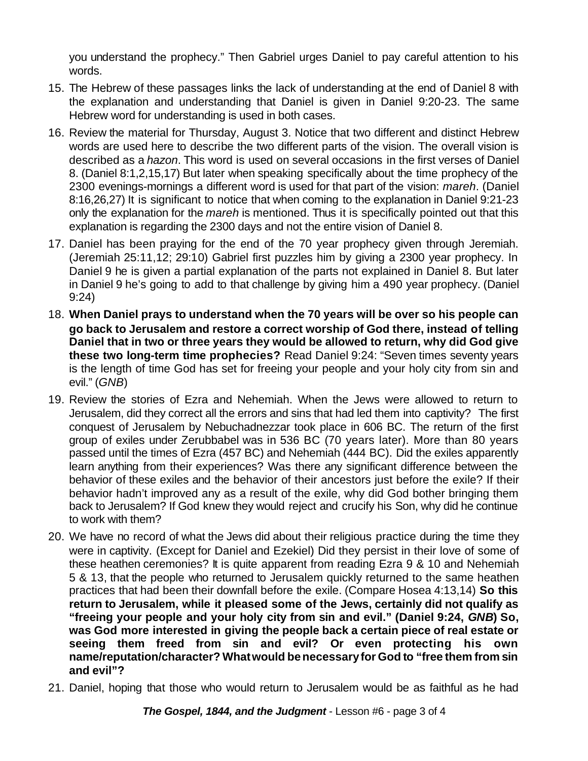you understand the prophecy." Then Gabriel urges Daniel to pay careful attention to his words.

- 15. The Hebrew of these passages links the lack of understanding at the end of Daniel 8 with the explanation and understanding that Daniel is given in Daniel 9:20-23. The same Hebrew word for understanding is used in both cases.
- 16. Review the material for Thursday, August 3. Notice that two different and distinct Hebrew words are used here to describe the two different parts of the vision. The overall vision is described as a *hazon*. This word is used on several occasions in the first verses of Daniel 8. (Daniel 8:1,2,15,17) But later when speaking specifically about the time prophecy of the 2300 evenings-mornings a different word is used for that part of the vision: *mareh*. (Daniel 8:16,26,27) It is significant to notice that when coming to the explanation in Daniel 9:21-23 only the explanation for the *mareh* is mentioned. Thus it is specifically pointed out that this explanation is regarding the 2300 days and not the entire vision of Daniel 8.
- 17. Daniel has been praying for the end of the 70 year prophecy given through Jeremiah. (Jeremiah 25:11,12; 29:10) Gabriel first puzzles him by giving a 2300 year prophecy. In Daniel 9 he is given a partial explanation of the parts not explained in Daniel 8. But later in Daniel 9 he's going to add to that challenge by giving him a 490 year prophecy. (Daniel 9:24)
- 18. **When Daniel prays to understand when the 70 years will be over so his people can go back to Jerusalem and restore a correct worship of God there, instead of telling Daniel that in two or three years they would be allowed to return, why did God give these two long-term time prophecies?** Read Daniel 9:24: "Seven times seventy years is the length of time God has set for freeing your people and your holy city from sin and evil." (*GNB*)
- 19. Review the stories of Ezra and Nehemiah. When the Jews were allowed to return to Jerusalem, did they correct all the errors and sins that had led them into captivity? The first conquest of Jerusalem by Nebuchadnezzar took place in 606 BC. The return of the first group of exiles under Zerubbabel was in 536 BC (70 years later). More than 80 years passed until the times of Ezra (457 BC) and Nehemiah (444 BC). Did the exiles apparently learn anything from their experiences? Was there any significant difference between the behavior of these exiles and the behavior of their ancestors just before the exile? If their behavior hadn't improved any as a result of the exile, why did God bother bringing them back to Jerusalem? If God knew they would reject and crucify his Son, why did he continue to work with them?
- 20. We have no record of what the Jews did about their religious practice during the time they were in captivity. (Except for Daniel and Ezekiel) Did they persist in their love of some of these heathen ceremonies? It is quite apparent from reading Ezra 9 & 10 and Nehemiah 5 & 13, that the people who returned to Jerusalem quickly returned to the same heathen practices that had been their downfall before the exile. (Compare Hosea 4:13,14) **So this return to Jerusalem, while it pleased some of the Jews, certainly did not qualify as "freeing your people and your holy city from sin and evil." (Daniel 9:24,** *GNB***) So, was God more interested in giving the people back a certain piece of real estate or seeing them freed from sin and evil? Or even protecting his own name/reputation/character? Whatwould benecessaryfor God to "free them from sin and evil"?**
- 21. Daniel, hoping that those who would return to Jerusalem would be as faithful as he had